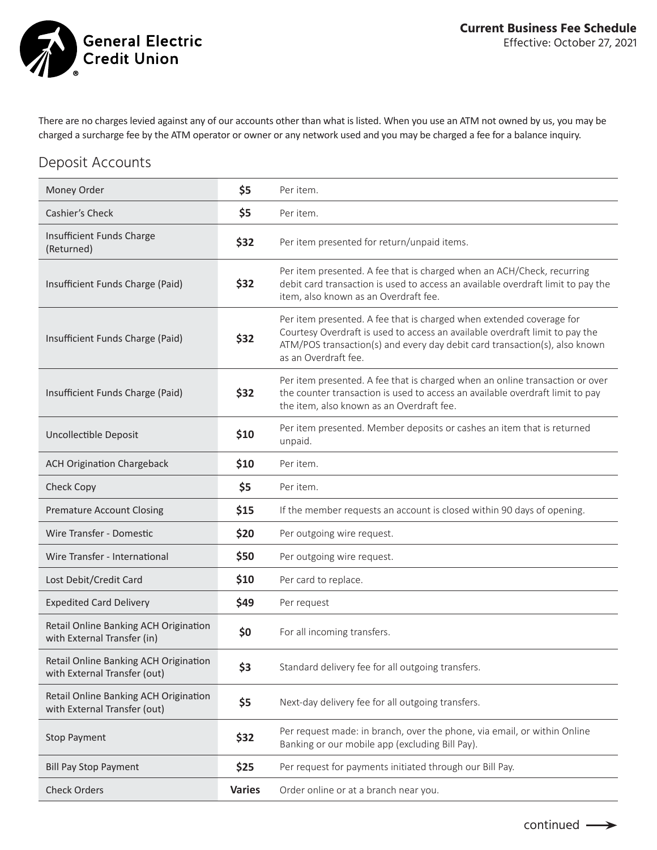General Electric<br>© Credit Union

There are no charges levied against any of our accounts other than what is listed. When you use an ATM not owned by us, you may be charged a surcharge fee by the ATM operator or owner or any network used and you may be charged a fee for a balance inquiry.

#### Deposit Accounts

| Money Order                                                           | \$5           | Per item.                                                                                                                                                                                                                                                  |
|-----------------------------------------------------------------------|---------------|------------------------------------------------------------------------------------------------------------------------------------------------------------------------------------------------------------------------------------------------------------|
| Cashier's Check                                                       | \$5           | Per item.                                                                                                                                                                                                                                                  |
| Insufficient Funds Charge<br>(Returned)                               | \$32          | Per item presented for return/unpaid items.                                                                                                                                                                                                                |
| Insufficient Funds Charge (Paid)                                      | \$32          | Per item presented. A fee that is charged when an ACH/Check, recurring<br>debit card transaction is used to access an available overdraft limit to pay the<br>item, also known as an Overdraft fee.                                                        |
| Insufficient Funds Charge (Paid)                                      | \$32          | Per item presented. A fee that is charged when extended coverage for<br>Courtesy Overdraft is used to access an available overdraft limit to pay the<br>ATM/POS transaction(s) and every day debit card transaction(s), also known<br>as an Overdraft fee. |
| Insufficient Funds Charge (Paid)                                      | \$32          | Per item presented. A fee that is charged when an online transaction or over<br>the counter transaction is used to access an available overdraft limit to pay<br>the item, also known as an Overdraft fee.                                                 |
| <b>Uncollectible Deposit</b>                                          | \$10          | Per item presented. Member deposits or cashes an item that is returned<br>unpaid.                                                                                                                                                                          |
| <b>ACH Origination Chargeback</b>                                     | \$10          | Per item.                                                                                                                                                                                                                                                  |
| Check Copy                                                            | \$5           | Per item.                                                                                                                                                                                                                                                  |
| <b>Premature Account Closing</b>                                      | \$15          | If the member requests an account is closed within 90 days of opening.                                                                                                                                                                                     |
| Wire Transfer - Domestic                                              | \$20          | Per outgoing wire request.                                                                                                                                                                                                                                 |
| Wire Transfer - International                                         | \$50          | Per outgoing wire request.                                                                                                                                                                                                                                 |
| Lost Debit/Credit Card                                                | \$10          | Per card to replace.                                                                                                                                                                                                                                       |
| <b>Expedited Card Delivery</b>                                        | \$49          | Per request                                                                                                                                                                                                                                                |
| Retail Online Banking ACH Origination<br>with External Transfer (in)  | \$0           | For all incoming transfers.                                                                                                                                                                                                                                |
| Retail Online Banking ACH Origination<br>with External Transfer (out) | \$3           | Standard delivery fee for all outgoing transfers.                                                                                                                                                                                                          |
| Retail Online Banking ACH Origination<br>with External Transfer (out) | \$5           | Next-day delivery fee for all outgoing transfers.                                                                                                                                                                                                          |
| <b>Stop Payment</b>                                                   | \$32          | Per request made: in branch, over the phone, via email, or within Online<br>Banking or our mobile app (excluding Bill Pay).                                                                                                                                |
| <b>Bill Pay Stop Payment</b>                                          | \$25          | Per request for payments initiated through our Bill Pay.                                                                                                                                                                                                   |
| <b>Check Orders</b>                                                   | <b>Varies</b> | Order online or at a branch near you.                                                                                                                                                                                                                      |

continued  $\longrightarrow$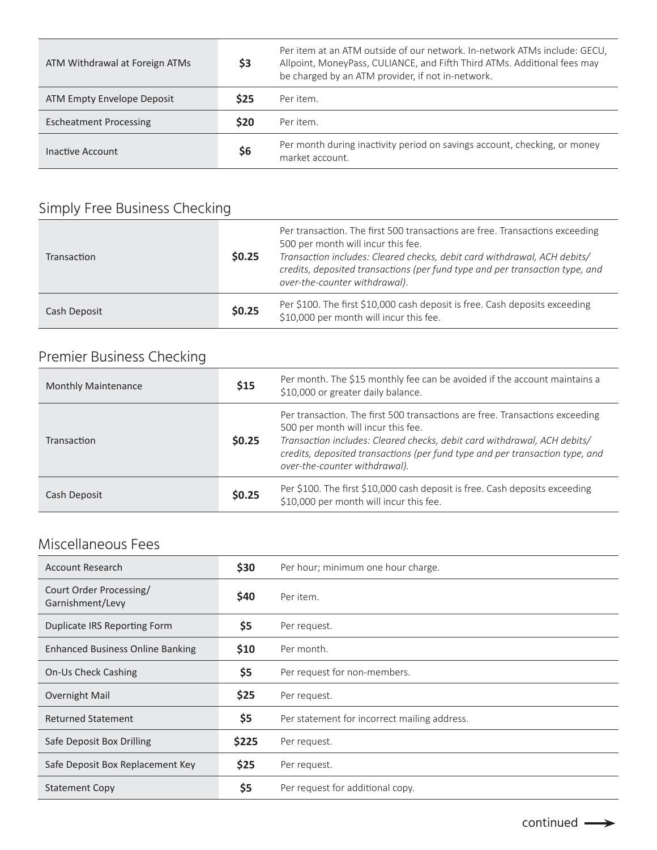| ATM Withdrawal at Foreign ATMs | \$3        | Per item at an ATM outside of our network. In-network ATMs include: GECU,<br>Allpoint, MoneyPass, CULIANCE, and Fifth Third ATMs. Additional fees may<br>be charged by an ATM provider, if not in-network. |
|--------------------------------|------------|------------------------------------------------------------------------------------------------------------------------------------------------------------------------------------------------------------|
| ATM Empty Envelope Deposit     | <b>S25</b> | Per item.                                                                                                                                                                                                  |
| <b>Escheatment Processing</b>  | <b>S20</b> | Per item.                                                                                                                                                                                                  |
| Inactive Account               | \$6        | Per month during inactivity period on savings account, checking, or money<br>market account.                                                                                                               |

# Simply Free Business Checking

| Transaction  | \$0.25 | Per transaction. The first 500 transactions are free. Transactions exceeding<br>500 per month will incur this fee.<br>Transaction includes: Cleared checks, debit card withdrawal, ACH debits/<br>credits, deposited transactions (per fund type and per transaction type, and<br>over-the-counter withdrawal). |
|--------------|--------|-----------------------------------------------------------------------------------------------------------------------------------------------------------------------------------------------------------------------------------------------------------------------------------------------------------------|
| Cash Deposit | \$0.25 | Per \$100. The first \$10,000 cash deposit is free. Cash deposits exceeding<br>\$10,000 per month will incur this fee.                                                                                                                                                                                          |

## Premier Business Checking

| <b>Monthly Maintenance</b> | \$15   | Per month. The \$15 monthly fee can be avoided if the account maintains a<br>\$10,000 or greater daily balance.                                                                                                                                                                                                 |
|----------------------------|--------|-----------------------------------------------------------------------------------------------------------------------------------------------------------------------------------------------------------------------------------------------------------------------------------------------------------------|
| Transaction                | \$0.25 | Per transaction. The first 500 transactions are free. Transactions exceeding<br>500 per month will incur this fee.<br>Transaction includes: Cleared checks, debit card withdrawal, ACH debits/<br>credits, deposited transactions (per fund type and per transaction type, and<br>over-the-counter withdrawal). |
| Cash Deposit               | \$0.25 | Per \$100. The first \$10,000 cash deposit is free. Cash deposits exceeding<br>\$10,000 per month will incur this fee.                                                                                                                                                                                          |

#### Miscellaneous Fees

| <b>Account Research</b>                     | \$30  | Per hour; minimum one hour charge.           |
|---------------------------------------------|-------|----------------------------------------------|
| Court Order Processing/<br>Garnishment/Levy | \$40  | Per item.                                    |
| Duplicate IRS Reporting Form                | \$5   | Per request.                                 |
| <b>Enhanced Business Online Banking</b>     | \$10  | Per month.                                   |
| On-Us Check Cashing                         | \$5   | Per request for non-members.                 |
| Overnight Mail                              | \$25  | Per request.                                 |
| Returned Statement                          | \$5   | Per statement for incorrect mailing address. |
| Safe Deposit Box Drilling                   | \$225 | Per request.                                 |
| Safe Deposit Box Replacement Key            | \$25  | Per request.                                 |
| <b>Statement Copy</b>                       | \$5   | Per request for additional copy.             |